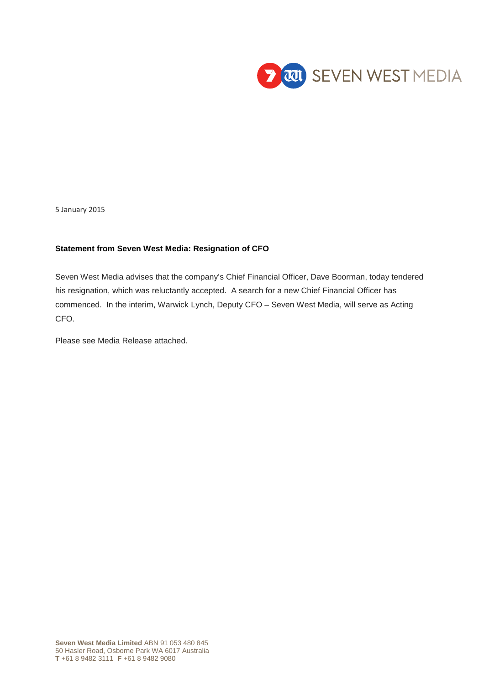

5 January 2015

## **Statement from Seven West Media: Resignation of CFO**

Seven West Media advises that the company's Chief Financial Officer, Dave Boorman, today tendered his resignation, which was reluctantly accepted. A search for a new Chief Financial Officer has commenced. In the interim, Warwick Lynch, Deputy CFO – Seven West Media, will serve as Acting CFO.

Please see Media Release attached.